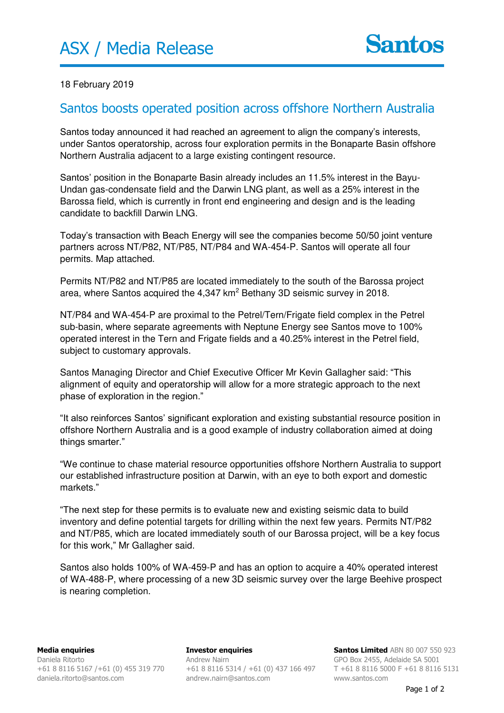## 18 February 2019

## Santos boosts operated position across offshore Northern Australia

Santos today announced it had reached an agreement to align the company's interests, under Santos operatorship, across four exploration permits in the Bonaparte Basin offshore Northern Australia adjacent to a large existing contingent resource.

Santos' position in the Bonaparte Basin already includes an 11.5% interest in the Bayu-Undan gas-condensate field and the Darwin LNG plant, as well as a 25% interest in the Barossa field, which is currently in front end engineering and design and is the leading candidate to backfill Darwin LNG.

Today's transaction with Beach Energy will see the companies become 50/50 joint venture partners across NT/P82, NT/P85, NT/P84 and WA-454-P. Santos will operate all four permits. Map attached.

Permits NT/P82 and NT/P85 are located immediately to the south of the Barossa project area, where Santos acquired the 4,347 km<sup>2</sup> Bethany 3D seismic survey in 2018.

NT/P84 and WA-454-P are proximal to the Petrel/Tern/Frigate field complex in the Petrel sub-basin, where separate agreements with Neptune Energy see Santos move to 100% operated interest in the Tern and Frigate fields and a 40.25% interest in the Petrel field, subject to customary approvals.

Santos Managing Director and Chief Executive Officer Mr Kevin Gallagher said: "This alignment of equity and operatorship will allow for a more strategic approach to the next phase of exploration in the region."

"It also reinforces Santos' significant exploration and existing substantial resource position in offshore Northern Australia and is a good example of industry collaboration aimed at doing things smarter."

"We continue to chase material resource opportunities offshore Northern Australia to support our established infrastructure position at Darwin, with an eye to both export and domestic markets."

"The next step for these permits is to evaluate new and existing seismic data to build inventory and define potential targets for drilling within the next few years. Permits NT/P82 and NT/P85, which are located immediately south of our Barossa project, will be a key focus for this work," Mr Gallagher said.

Santos also holds 100% of WA-459-P and has an option to acquire a 40% operated interest of WA-488-P, where processing of a new 3D seismic survey over the large Beehive prospect is nearing completion.

**Investor enquiries**  Andrew Nairn +61 8 8116 5314 / +61 (0) 437 166 497 andrew.nairn@santos.com

**Santos Limited** ABN 80 007 550 923 GPO Box 2455, Adelaide SA 5001 T +61 8 8116 5000 F +61 8 8116 5131 www.santos.com